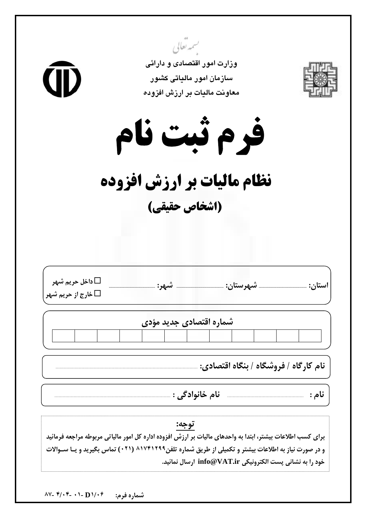| <b>CID</b>                                                 | تسمهر بعالي<br>وزارت امور اقتصادی و دارائی<br>سازمان امور مالیاتی کشور<br>معاونت مالیات بر ارزش افزوده                                                                                                                                                                                  |                                       |  |  |  |  |  |  |  |  |  |
|------------------------------------------------------------|-----------------------------------------------------------------------------------------------------------------------------------------------------------------------------------------------------------------------------------------------------------------------------------------|---------------------------------------|--|--|--|--|--|--|--|--|--|
| فرم ثبت نام<br>نظام مالیات بر ارزش افزوده<br>(اشخاص حقیقی) |                                                                                                                                                                                                                                                                                         |                                       |  |  |  |  |  |  |  |  |  |
| داخل حريم شهر $\Box$<br>غارج از حريم شهر $\Box$            | شهرستان:<br>شهر:                                                                                                                                                                                                                                                                        | استان:                                |  |  |  |  |  |  |  |  |  |
|                                                            | شماره اقتصادی جدید مؤدی                                                                                                                                                                                                                                                                 |                                       |  |  |  |  |  |  |  |  |  |
|                                                            |                                                                                                                                                                                                                                                                                         |                                       |  |  |  |  |  |  |  |  |  |
|                                                            |                                                                                                                                                                                                                                                                                         | نام کارگاه / فروشگاه / بنگاه اقتصادی: |  |  |  |  |  |  |  |  |  |
|                                                            | نام خانوادگي :                                                                                                                                                                                                                                                                          | نام :                                 |  |  |  |  |  |  |  |  |  |
|                                                            | توجه:<br>برای کسب اطلاعات بیشتر، ابتدا به واحدهای مالیات بر ارزش افزوده اداره کل امور مالیاتی مربوطه مراجعه فرمائید<br>و در صورت نیاز به اطلاعات بیشتر و تکمیلی از طریق شماره تلفن۱۷۴۱۲۹۹ (۰۲۱) تماس بگیرید و یــا ســوالات<br>خود را به نشانی پست الکترونیکی info@VAT.ir ارسال نمائید. |                                       |  |  |  |  |  |  |  |  |  |

شماره فرم:  $\mathbf{D} \setminus \mathbf{f}$  - ۱۰ - ۴/۰۴ -۸۷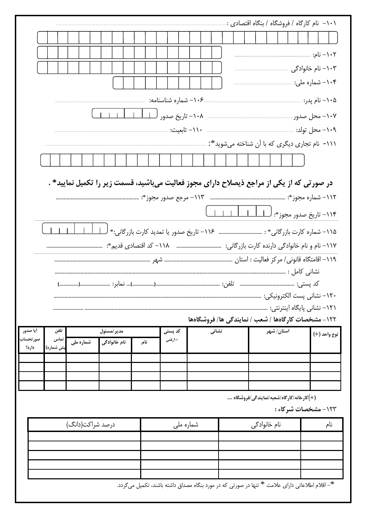|                                                                                           | ۱۰۱– نام کارگاه / فروشگاه / بنگاه اقتصادی :. |                                                                                                 |                             |  |  |  |  |  |  |  |  |
|-------------------------------------------------------------------------------------------|----------------------------------------------|-------------------------------------------------------------------------------------------------|-----------------------------|--|--|--|--|--|--|--|--|
|                                                                                           |                                              |                                                                                                 |                             |  |  |  |  |  |  |  |  |
|                                                                                           |                                              |                                                                                                 |                             |  |  |  |  |  |  |  |  |
|                                                                                           |                                              |                                                                                                 |                             |  |  |  |  |  |  |  |  |
|                                                                                           |                                              |                                                                                                 |                             |  |  |  |  |  |  |  |  |
|                                                                                           |                                              |                                                                                                 |                             |  |  |  |  |  |  |  |  |
|                                                                                           |                                              |                                                                                                 |                             |  |  |  |  |  |  |  |  |
|                                                                                           |                                              |                                                                                                 |                             |  |  |  |  |  |  |  |  |
|                                                                                           |                                              |                                                                                                 |                             |  |  |  |  |  |  |  |  |
|                                                                                           |                                              | ۱۱۱-  نام تجاری دیگری که با آن شناخته میشوید*:                                                  |                             |  |  |  |  |  |  |  |  |
|                                                                                           |                                              |                                                                                                 |                             |  |  |  |  |  |  |  |  |
| در صورتی که از یکی از مراجع ذیصلاح دارای مجوز فعالیت میباشید، قسمت زیر را تکمیل نمایید* . |                                              |                                                                                                 |                             |  |  |  |  |  |  |  |  |
|                                                                                           |                                              |                                                                                                 |                             |  |  |  |  |  |  |  |  |
|                                                                                           |                                              |                                                                                                 |                             |  |  |  |  |  |  |  |  |
|                                                                                           |                                              |                                                                                                 |                             |  |  |  |  |  |  |  |  |
|                                                                                           |                                              |                                                                                                 |                             |  |  |  |  |  |  |  |  |
|                                                                                           |                                              |                                                                                                 |                             |  |  |  |  |  |  |  |  |
|                                                                                           |                                              |                                                                                                 |                             |  |  |  |  |  |  |  |  |
|                                                                                           |                                              |                                                                                                 |                             |  |  |  |  |  |  |  |  |
|                                                                                           |                                              | ۱۲۰– نشانی پست الکترونیکی:                                                                      |                             |  |  |  |  |  |  |  |  |
|                                                                                           |                                              |                                                                                                 | ۱۲۱– نشانی پایگاه اینترنتی: |  |  |  |  |  |  |  |  |
|                                                                                           |                                              | ۱۲۲ – مشخصات کارگاهها / شعب / نمایندگی ها/ فروشگاهها                                            |                             |  |  |  |  |  |  |  |  |
| أيا صدور<br>تلفن<br>مدير/مسئول                                                            | کد پستی<br>نشانی                             | استان/ شهر                                                                                      | نوع واحد (+)                |  |  |  |  |  |  |  |  |
| تماس<br>صورتحساب<br>شماره ملی<br>نام خانوادگی<br><sub>یش</sub> شماره)<br>دارد؟            | 10رقمی<br>نام                                |                                                                                                 |                             |  |  |  |  |  |  |  |  |
|                                                                                           |                                              |                                                                                                 |                             |  |  |  |  |  |  |  |  |
|                                                                                           |                                              |                                                                                                 |                             |  |  |  |  |  |  |  |  |
|                                                                                           |                                              |                                                                                                 |                             |  |  |  |  |  |  |  |  |
|                                                                                           |                                              | (+)کارخانه/کارگاه/شعبه/نمایندگی/فروشگاه                                                         | ۱۲۳- مشخصات شرکاء :         |  |  |  |  |  |  |  |  |
|                                                                                           |                                              |                                                                                                 |                             |  |  |  |  |  |  |  |  |
| درصد شراكت(دانگ)                                                                          | شماره ملی                                    | نام خانوادگی                                                                                    | نام                         |  |  |  |  |  |  |  |  |
|                                                                                           |                                              |                                                                                                 |                             |  |  |  |  |  |  |  |  |
|                                                                                           |                                              |                                                                                                 |                             |  |  |  |  |  |  |  |  |
|                                                                                           |                                              |                                                                                                 |                             |  |  |  |  |  |  |  |  |
|                                                                                           |                                              | *– اقلام اطلاعاتی دارای علامت * تنها در صورتی که در مورد بنگاه مصداق داشته باشند، تکمیل میگردد. |                             |  |  |  |  |  |  |  |  |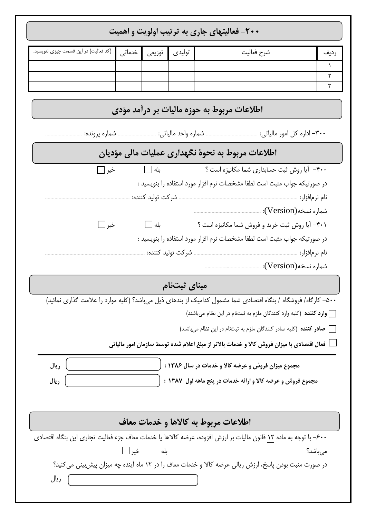| +۲۰- فعالیتهای جاری به ترتیب اولویت و اهمیت                                                                       |                                                    |                   |              |                                                                                                                |           |  |  |  |  |
|-------------------------------------------------------------------------------------------------------------------|----------------------------------------------------|-------------------|--------------|----------------------------------------------------------------------------------------------------------------|-----------|--|--|--|--|
| (کد فعالیت) در این قسمت چیزی ننویسید.                                                                             | خدماتى                                             | توزيعي            | توليدى       | شرح فعاليت                                                                                                     | رديف      |  |  |  |  |
|                                                                                                                   |                                                    |                   |              |                                                                                                                | $\lambda$ |  |  |  |  |
|                                                                                                                   |                                                    |                   |              |                                                                                                                | ٢<br>٣    |  |  |  |  |
|                                                                                                                   |                                                    |                   |              |                                                                                                                |           |  |  |  |  |
|                                                                                                                   |                                                    |                   |              | اطلاعات مربوط به حوزه مالیات بر درآمد مؤدی                                                                     |           |  |  |  |  |
|                                                                                                                   |                                                    |                   |              |                                                                                                                |           |  |  |  |  |
| اطلاعات مربوط به نحوهٔ نگهداری عملیات مالی مؤدیان                                                                 |                                                    |                   |              |                                                                                                                |           |  |  |  |  |
| خير [_∏                                                                                                           |                                                    |                   | $\Box$ بله   | ۴۰۰ - آیا روش ثبت حسابداری شما مکانیزه است ؟                                                                   |           |  |  |  |  |
|                                                                                                                   |                                                    |                   |              | در صورتیکه جواب مثبت است لطفا مشخصات نرم افزار مورد استفاده را بنویسید :                                       |           |  |  |  |  |
|                                                                                                                   |                                                    | شركت توليد كننده: |              |                                                                                                                |           |  |  |  |  |
|                                                                                                                   |                                                    |                   |              |                                                                                                                |           |  |  |  |  |
| خير ل_ا                                                                                                           |                                                    | بله $\Box$        |              | ۴۰۱– آیا روش ثبت خرید و فروش شما مکانیزه است ؟                                                                 |           |  |  |  |  |
|                                                                                                                   |                                                    |                   |              | در صورتیکه جواب مثبت است لطفا مشخصات نرم افزار مورد استفاده را بنویسید :                                       |           |  |  |  |  |
|                                                                                                                   |                                                    |                   |              |                                                                                                                |           |  |  |  |  |
|                                                                                                                   |                                                    |                   |              |                                                                                                                |           |  |  |  |  |
|                                                                                                                   |                                                    |                   | مبنای ثبتنام |                                                                                                                |           |  |  |  |  |
|                                                                                                                   |                                                    |                   |              | ۵۰۰– کارگاه/ فروشگاه / بنگاه اقتصادی شما مشمول کدامیک از بندهای ذیل میباشد؟ (کلیه موارد را علامت گذاری نمائید) |           |  |  |  |  |
|                                                                                                                   |                                                    |                   |              | وارد کننده (کلیه وارد کنندگان ملزم به ثبتنام در این نظام میباشند) <b>[</b>                                     |           |  |  |  |  |
|                                                                                                                   |                                                    |                   |              | __ صادر کننده (کلیه صادر کنندگان ملزم به ثبتنام در این نظام میباشند)                                           |           |  |  |  |  |
|                                                                                                                   |                                                    |                   |              | عال اقتصادی با میزان فروش کالا و خدمات بالاتر از مبلغ اعلام شده توسط سازمان امور مالیاتی $\Box$                |           |  |  |  |  |
| ريال                                                                                                              | مجموع میزان فروش و عرضه کالا و خدمات در سال ۱۳۸۶ : |                   |              |                                                                                                                |           |  |  |  |  |
| ريال                                                                                                              |                                                    |                   |              | مجموع فروش و عرضه کالا و ارائه خدمات در پنج ماهه اول ۱۳۸۷ :                                                    |           |  |  |  |  |
|                                                                                                                   |                                                    |                   |              |                                                                                                                |           |  |  |  |  |
|                                                                                                                   |                                                    |                   |              |                                                                                                                |           |  |  |  |  |
| اطلاعات مربوط به كالاها و خدمات معاف                                                                              |                                                    |                   |              |                                                                                                                |           |  |  |  |  |
| ۶۰۰– با توجه به ماده ۱۲ قانون مالیات بر ارزش افزوده، عرضه کالاها یا خدمات معاف جزء فعالیت تجاری این بنگاه اقتصادی |                                                    |                   |              |                                                                                                                |           |  |  |  |  |
|                                                                                                                   | خير ا∟ا                                            | بله  __           |              |                                                                                                                | مىباشد؟   |  |  |  |  |
| در صورت مثبت بودن پاسخ، ارزش ریالی عرضه کالا و خدمات معاف را در ۱۲ ماه آینده چه میزان پیش بینی می کنید؟           |                                                    |                   |              |                                                                                                                |           |  |  |  |  |
| ریال                                                                                                              |                                                    |                   |              |                                                                                                                |           |  |  |  |  |